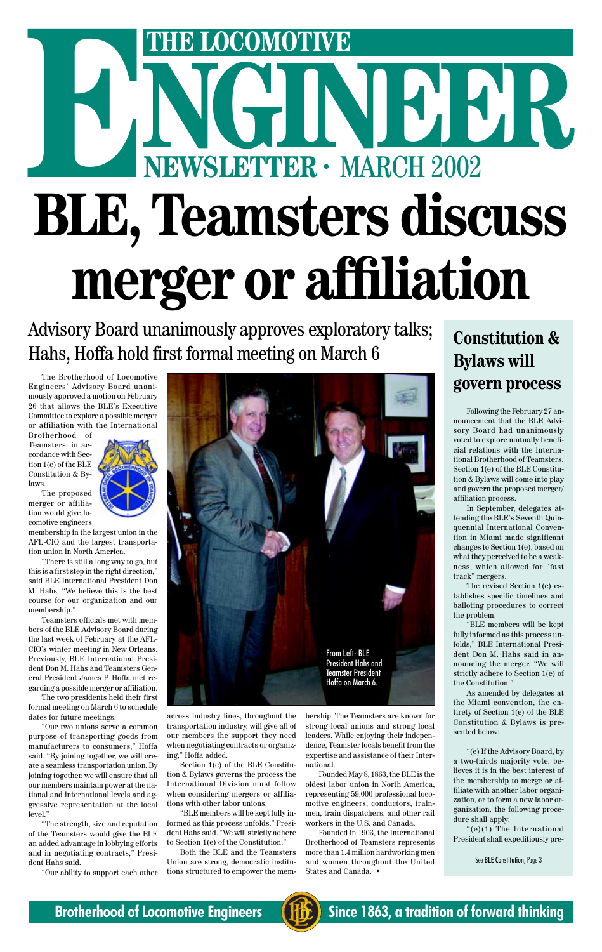# THE LOCOMOTIVE<br>
NEWSLETTER · MARCH 2002 **ENEWSLETTER · MARCH 2002 BLE, Teamsters discuss merger or affiliation**

Advisory Board unanimously approves exploratory talks; Hahs, Hoffa hold first formal meeting on March 6

The Brotherhood of Locomotive Engineers' Advisory Board unanimously approved a motion on February 26 that allows the BLE's Executive Committee to explore a possible merger or affiliation with the International

Brotherhood of Teamsters, in accordance with Section 1(e) of the BLE Constitution & Bylaws.

The proposed merger or affilia-



tion would give locomotive engineers membership in the largest union in the AFL-CIO and the largest transporta-

tion union in North America. "There is still a long way to go, but this is a first step in the right direction," said BLE International President Don M. Hahs. "We believe this is the best course for our organization and our membership."

Teamsters officials met with members of the BLE Advisory Board during the last week of February at the AFL-CIO's winter meeting in New Orleans. Previously, BLE International President Don M. Hahs and Teamsters General President James P. Hoffa met regarding a possible merger or affiliation.

The two presidents held their first

formal meeting on March 6 to schedule dates for future meetings.

"Our two unions serve a common purpose of transporting goods from manufacturers to consumers," Hoffa said. "By joining together, we will create a seamless transportation union. By joining together, we will ensure that all our members maintain power at the national and international levels and aggressive representation at the local level."

"The strength, size and reputation of the Teamsters would give the BLE an added advantage in lobbying efforts and in negotiating contracts," President Hahs said.

"Our ability to support each other

across industry lines, throughout the transportation industry, will give all of our members the support they need when negotiating contracts or organizing," Hoffa added.

Section 1(e) of the BLE Constitution & Bylaws governs the process the International Division must follow when considering mergers or affiliations with other labor unions.

"BLE members will be kept fully informed as this process unfolds," President Hahs said. "We will strictly adhere to Section 1(e) of the Constitution."

Both the BLE and the Teamsters Union are strong, democratic institutions structured to empower the mem-

### **Constitution & Bylaws will govern process**

Following the February 27 announcement that the BLE Advisory Board had unanimously voted to explore mutually beneficial relations with the International Brotherhood of Teamsters, Section 1(e) of the BLE Constitution & Bylaws will come into play and govern the proposed merger/ affiliation process.

In September, delegates attending the BLE's Seventh Quinquennial International Convention in Miami made significant changes to Section 1(e), based on what they perceived to be a weakness, which allowed for "fast track" mergers.

The revised Section 1(e) establishes specific timelines and balloting procedures to correct the problem.

"BLE members will be kept fully informed as this process unfolds," BLE International President Don M. Hahs said in announcing the merger. "We will strictly adhere to Section 1(e) of the Constitution."

As amended by delegates at

the Miami convention, the entirety of Section 1(e) of the BLE Constitution & Bylaws is presented below:

"(e) If the Advisory Board, by a two-thirds majority vote, believes it is in the best interest of the membership to merge or affiliate with another labor organization, or to form a new labor organization, the following procedure shall apply:

"(e)(1) The International President shall expeditiously pre-

See BLE Constitution, Page 3

**Brotherhood of Locomotive Engineers (FE)** Since 1863, a tradition of forward thinking

bership. The Teamsters are known for strong local unions and strong local leaders. While enjoying their independence, Teamster locals benefit from the expertise and assistance of their International.

Founded May 8, 1863, the BLE is the oldest labor union in North America, representing 59,000 professional locomotive engineers, conductors, trainmen, train dispatchers, and other rail workers in the U.S. and Canada.

Founded in 1903, the International Brotherhood of Teamsters represents more than 1.4 million hardworking men and women throughout the United States and Canada. •

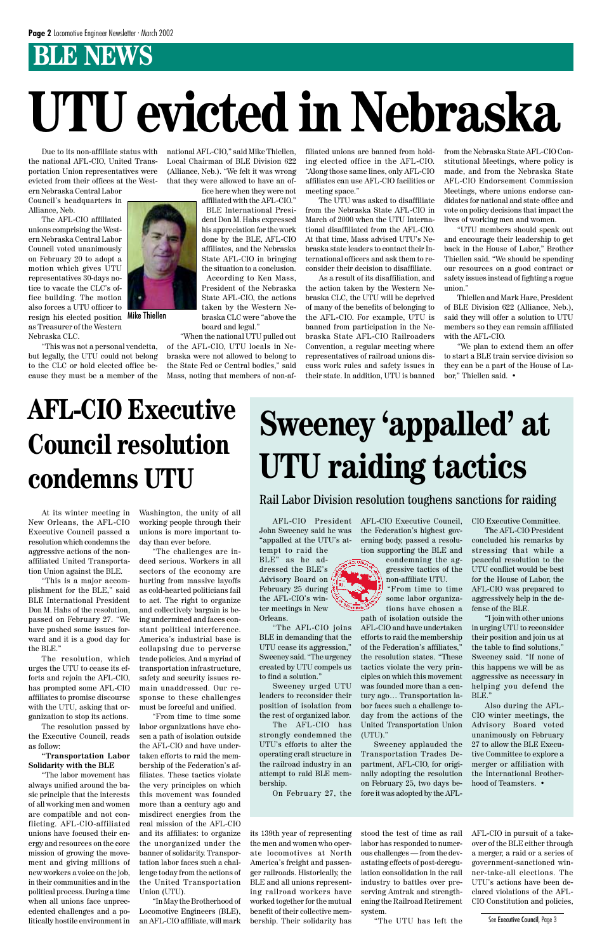### **BLE NEWS**

Due to its non-affiliate status with the national AFL-CIO, United Transportation Union representatives were evicted from their offices at the West-

ern Nebraska Central Labor Council's headquarters in Alliance, Neb.

The AFL-CIO affiliated unions comprising the Western Nebraska Central Labor Council voted unanimously on February 20 to adopt a motion which gives UTU representatives 30-days notice to vacate the CLC's office building. The motion also forces a UTU officer to resign his elected position as Treasurer of the Western Nebraska CLC.

"This was not a personal vendetta, but legally, the UTU could not belong to the CLC or hold elected office because they must be a member of the

national AFL-CIO," said Mike Thiellen, Local Chairman of BLE Division 622 (Alliance, Neb.). "We felt it was wrong that they were allowed to have an of-

> fice here when they were not affiliated with the AFL-CIO."

BLE International President Don M. Hahs expressed his appreciation for the work done by the BLE, AFL-CIO affiliates, and the Nebraska State AFL-CIO in bringing the situation to a conclusion. According to Ken Mass, President of the Nebraska State AFL-CIO, the actions taken by the Western Nebraska CLC were "above the board and legal."

"When the national UTU pulled out of the AFL-CIO, UTU locals in Nebraska were not allowed to belong to the State Fed or Central bodies," said Mass, noting that members of non-af-

filiated unions are banned from holding elected office in the AFL-CIO. "Along those same lines, only AFL-CIO affiliates can use AFL-CIO facilities or meeting space."

The UTU was asked to disaffiliate from the Nebraska State AFL-CIO in March of 2000 when the UTU International disaffiliated from the AFL-CIO. At that time, Mass advised UTU's Nebraska state leaders to contact their International officers and ask them to reconsider their decision to disaffiliate.

As a result of its disaffiliation, and the action taken by the Western Nebraska CLC, the UTU will be deprived of many of the benefits of belonging to the AFL-CIO. For example, UTU is banned from participation in the Nebraska State AFL-CIO Railroaders Convention, a regular meeting where representatives of railroad unions discuss work rules and safety issues in their state. In addition, UTU is banned

from the Nebraska State AFL-CIO Constitutional Meetings, where policy is made, and from the Nebraska State AFL-CIO Endorsement Commission Meetings, where unions endorse candidates for national and state office and vote on policy decisions that impact the lives of working men and women.

"UTU members should speak out and encourage their leadership to get back in the House of Labor," Brother Thiellen said. "We should be spending our resources on a good contract or safety issues instead of fighting a rogue union."

Thiellen and Mark Hare, President of BLE Division 622 (Alliance, Neb.), said they will offer a solution to UTU members so they can remain affiliated with the AFL-CIO.

"We plan to extend them an offer to start a BLE train service division so they can be a part of the House of Labor," Thiellen said. •

## **UTU evicted in Nebraska**



Mike Thiellen

### **Sweeney 'appalled' at UTU raiding tactics**

#### Rail Labor Division resolution toughens sanctions for raiding

AFL-CIO President John Sweeney said he was "appalled at the UTU's at-

tempt to raid the BLE" as he addressed the BLE's Advisory Board on February 25 during the AFL-CIO's winter meetings in New Orleans.

"The AFL-CIO joins BLE in demanding that the UTU cease its aggression," Sweeney said. "The urgency created by UTU compels us to find a solution."

Sweeney urged UTU leaders to reconsider their position of isolation from the rest of organized labor. The AFL-CIO has strongly condemned the UTU's efforts to alter the operating craft structure in the railroad industry in an attempt to raid BLE membership.

On February 27, the

AFL-CIO Executive Council, the Federation's highest governing body, passed a resolution supporting the BLE and

> condemning the aggressive tactics of the non-affiliate UTU.

"From time to time some labor organizations have chosen a

path of isolation outside the AFL-CIO and have undertaken efforts to raid the membership of the Federation's affiliates," the resolution states. "These tactics violate the very principles on which this movement was founded more than a century ago… Transportation la-

bor faces such a challenge today from the actions of the United Transportation Union (UTU)."

Sweeney applauded the Transportation Trades Department, AFL-CIO, for originally adopting the resolution on February 25, two days before it was adopted by the AFL- CIO Executive Committee.

The AFL-CIO President concluded his remarks by stressing that while a peaceful resolution to the UTU conflict would be best for the House of Labor, the AFL-CIO was prepared to aggressively help in the defense of the BLE.

"I join with other unions in urging UTU to reconsider their position and join us at the table to find solutions," Sweeney said. "If none of this happens we will be as aggressive as necessary in helping you defend the BLE." Also during the AFL-CIO winter meetings, the Advisory Board voted unanimously on February 27 to allow the BLE Executive Committee to explore a merger or affiliation with the International Brotherhood of Teamsters. •

### **AFL-CIO Executive Council resolution condemns UTU**

At its winter meeting in New Orleans, the AFL-CIO Executive Council passed a resolution which condemns the aggressive actions of the nonaffiliated United Transportation Union against the BLE.

"This is a major accomplishment for the BLE," said BLE International President Don M. Hahs of the resolution, passed on February 27. "We have pushed some issues forward and it is a good day for the BLE."

The resolution, which urges the UTU to cease its efforts and rejoin the AFL-CIO, has prompted some AFL-CIO affiliates to promise discourse with the UTU, asking that organization to stop its actions.

The resolution passed by the Executive Council, reads as follow:

#### **"Transportation Labor Solidarity with the BLE**

"The labor movement has always unified around the basic principle that the interests of all working men and women are compatible and not conflicting. AFL-CIO-affiliated unions have focused their energy and resources on the core mission of growing the movement and giving millions of new workers a voice on the job, in their communities and in the political process. During a time when all unions face unprecedented challenges and a politically hostile environment in

Washington, the unity of all working people through their unions is more important today than ever before.

"The challenges are indeed serious. Workers in all sectors of the economy are hurting from massive layoffs as cold-hearted politicians fail to act. The right to organize and collectively bargain is being undermined and faces constant political interference. America's industrial base is collapsing due to perverse trade policies. And a myriad of transportation infrastructure, safety and security issues remain unaddressed. Our response to these challenges must be forceful and unified. "From time to time some labor organizations have chosen a path of isolation outside the AFL-CIO and have undertaken efforts to raid the membership of the Federation's affiliates. These tactics violate the very principles on which this movement was founded more than a century ago and misdirect energies from the real mission of the AFL-CIO and its affiliates: to organize the unorganized under the banner of solidarity. Transportation labor faces such a challenge today from the actions of the United Transportation Union (UTU).

"In May the Brotherhood of Locomotive Engineers (BLE), an AFL-CIO affiliate, will mark

its 139th year of representing the men and women who operate locomotives at North America's freight and passenger railroads. Historically, the BLE and all unions representing railroad workers have worked together for the mutual benefit of their collective membership. Their solidarity has

stood the test of time as rail labor has responded to numerous challenges — from the devastating effects of post-deregulation consolidation in the rail industry to battles over preserving Amtrak and strengthening the Railroad Retirement system.

"The UTU has left the

AFL-CIO in pursuit of a takeover of the BLE either through a merger, a raid or a series of government-sanctioned winner-take-all elections. The UTU's actions have been declared violations of the AFL-CIO Constitution and policies,

See Executive Council, Page 3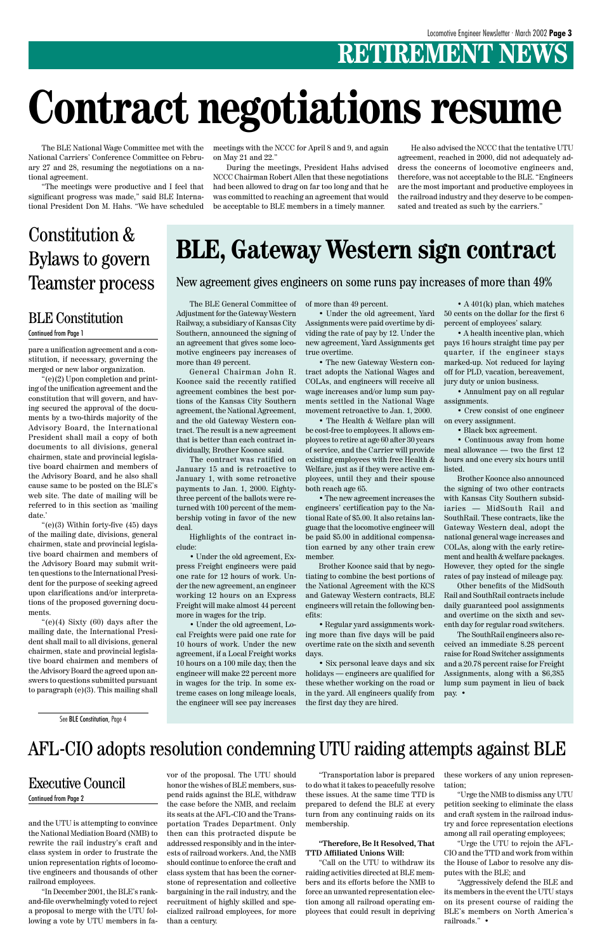### **RETIREMENT NEWS**

The BLE National Wage Committee met with the National Carriers' Conference Committee on February 27 and 28, resuming the negotiations on a national agreement.

"The meetings were productive and I feel that significant progress was made," said BLE International President Don M. Hahs. "We have scheduled

> The BLE General Committee of Adjustment for the Gateway Western Railway, a subsidiary of Kansas City Southern, announced the signing of an agreement that gives some locomotive engineers pay increases of more than 49 percent.

> General Chairman John R. Koonce said the recently ratified agreement combines the best portions of the Kansas City Southern agreement, the National Agreement, and the old Gateway Western contract. The result is a new agreement that is better than each contract individually, Brother Koonce said.

> The contract was ratified on January 15 and is retroactive to January 1, with some retroactive payments to Jan. 1, 2000. Eightythree percent of the ballots were returned with 100 percent of the membership voting in favor of the new deal.

Highlights of the contract include:

• Under the old agreement, Express Freight engineers were paid one rate for 12 hours of work. Under the new agreement, an engineer working 12 hours on an Express Freight will make almost 44 percent more in wages for the trip.

• Under the old agreement, Local Freights were paid one rate for 10 hours of work. Under the new agreement, if a Local Freight works 10 hours on a 100 mile day, then the engineer will make 22 percent more in wages for the trip. In some extreme cases on long mileage locals,

of more than 49 percent.

• Under the old agreement, Yard Assignments were paid overtime by dividing the rate of pay by 12. Under the new agreement, Yard Assignments get true overtime.

• The new Gateway Western contract adopts the National Wages and COLAs, and engineers will receive all wage increases and/or lump sum payments settled in the National Wage movement retroactive to Jan. 1, 2000.

• The Health & Welfare plan will be cost-free to employees. It allows employees to retire at age 60 after 30 years of service, and the Carrier will provide existing employees with free Health & Welfare, just as if they were active employees, until they and their spouse both reach age 65.

• The new agreement increases the engineers' certification pay to the National Rate of \$5.00. It also retains language that the locomotive engineer will be paid \$5.00 in additional compensation earned by any other train crew member.

Brother Koonce said that by negotiating to combine the best portions of the National Agreement with the KCS and Gateway Western contracts, BLE engineers will retain the following benefits:

• Regular yard assignments working more than five days will be paid overtime rate on the sixth and seventh days.

• Six personal leave days and six holidays — engineers are qualified for these whether working on the road or in the yard. All engineers qualify from

and the UTU is attempting to convince the National Mediation Board (NMB) to rewrite the rail industry's craft and class system in order to frustrate the union representation rights of locomotive engineers and thousands of other railroad employees.

"In December 2001, the BLE's rankand-file overwhelmingly voted to reject a proposal to merge with the UTU following a vote by UTU members in favor of the proposal. The UTU should honor the wishes of BLE members, suspend raids against the BLE, withdraw the case before the NMB, and reclaim its seats at the AFL-CIO and the Transportation Trades Department. Only then can this protracted dispute be addressed responsibly and in the interests of railroad workers. And, the NMB should continue to enforce the craft and class system that has been the cornerstone of representation and collective bargaining in the rail industry, and the recruitment of highly skilled and specialized railroad employees, for more than a century.

" $(e)(3)$  Within forty-five  $(45)$  days of the mailing date, divisions, general chairmen, state and provincial legislative board chairmen and members of the Advisory Board may submit written questions to the International President for the purpose of seeking agreed upon clarifications and/or interpretations of the proposed governing documents.

> "Transportation labor is prepared to do what it takes to peacefully resolve these issues. At the same time TTD is prepared to defend the BLE at every turn from any continuing raids on its membership.

#### **"Therefore, Be It Resolved, That TTD Affiliated Unions Will:**

"(e)(4) Sixty  $(60)$  days after the mailing date, the International President shall mail to all divisions, general chairmen, state and provincial legislative board chairmen and members of the Advisory Board the agreed upon answers to questions submitted pursuant to paragraph (e)(3). This mailing shall

> "Call on the UTU to withdraw its raiding activities directed at BLE members and its efforts before the NMB to force an unwanted representation election among all railroad operating employees that could result in depriving

• A 401(k) plan, which matches 50 cents on the dollar for the first 6 percent of employees' salary.

• A health incentive plan, which pays 16 hours straight time pay per quarter, if the engineer stays marked-up. Not reduced for laying off for PLD, vacation, bereavement, jury duty or union business.

• Annulment pay on all regular assignments.

• Crew consist of one engineer on every assignment.

• Black box agreement.

• Continuous away from home meal allowance — two the first 12 hours and one every six hours until listed.

Brother Koonce also announced the signing of two other contracts with Kansas City Southern subsidiaries — MidSouth Rail and SouthRail. These contracts, like the Gateway Western deal, adopt the national general wage increases and COLAs, along with the early retirement and health & welfare packages. However, they opted for the single rates of pay instead of mileage pay.

Other benefits of the MidSouth Rail and SouthRail contracts include daily guaranteed pool assignments and overtime on the sixth and seventh day for regular road switchers.

The SouthRail engineers also received an immediate 8.28 percent raise for Road Switcher assignments and a 20.78 percent raise for Freight Assignments, along with a \$6,385 lump sum payment in lieu of back pay. •

these workers of any union representation;

"Urge the NMB to dismiss any UTU petition seeking to eliminate the class and craft system in the railroad industry and force representation elections among all rail operating employees;

"Urge the UTU to rejoin the AFL-CIO and the TTD and work from within the House of Labor to resolve any disputes with the BLE; and

"Aggressively defend the BLE and its members in the event the UTU stays on its present course of raiding the BLE's members on North America's railroads." •

#### Executive Council Continued from Page 2

## **Contract negotiations resume**

### **BLE, Gateway Western sign contract**

#### meetings with the NCCC for April 8 and 9, and again on May 21 and 22."

During the meetings, President Hahs advised NCCC Chairman Robert Allen that these negotiations had been allowed to drag on far too long and that he was committed to reaching an agreement that would be acceptable to BLE members in a timely manner.

He also advised the NCCC that the tentative UTU agreement, reached in 2000, did not adequately address the concerns of locomotive engineers and, therefore, was not acceptable to the BLE. "Engineers are the most important and productive employees in the railroad industry and they deserve to be compensated and treated as such by the carriers."

New agreement gives engineers on some runs pay increases of more than 49%

### AFL-CIO adopts resolution condemning UTU raiding attempts against BLE

#### BLE Constitution Continued from Page 1

### Constitution & Bylaws to govern Teamster process

pare a unification agreement and a constitution, if necessary, governing the merged or new labor organization.

"(e)(2) Upon completion and printing of the unification agreement and the constitution that will govern, and having secured the approval of the documents by a two-thirds majority of the Advisory Board, the International President shall mail a copy of both documents to all divisions, general chairmen, state and provincial legislative board chairmen and members of the Advisory Board, and he also shall cause same to be posted on the BLE's web site. The date of mailing will be referred to in this section as 'mailing date.'

See BLE Constitution, Page 4